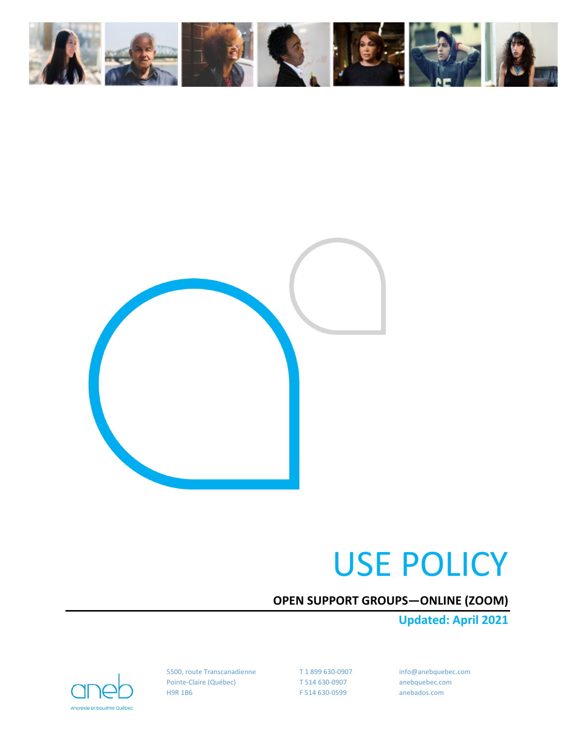



# USE POLICY

# **OPEN SUPPORT GROUPS—ONLINE (ZOOM)**

**Updated: April 2021**

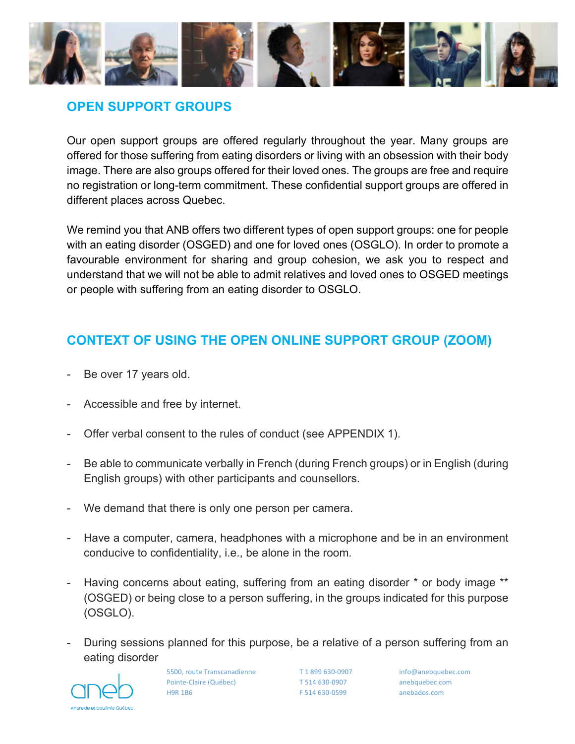

## **OPEN SUPPORT GROUPS**

Our open support groups are offered regularly throughout the year. Many groups are offered for those suffering from eating disorders or living with an obsession with their body image. There are also groups offered for their loved ones. The groups are free and require no registration or long-term commitment. These confidential support groups are offered in different places across Quebec.

We remind you that ANB offers two different types of open support groups: one for people with an eating disorder (OSGED) and one for loved ones (OSGLO). In order to promote a favourable environment for sharing and group cohesion, we ask you to respect and understand that we will not be able to admit relatives and loved ones to OSGED meetings or people with suffering from an eating disorder to OSGLO.

## **CONTEXT OF USING THE OPEN ONLINE SUPPORT GROUP (ZOOM)**

- Be over 17 years old.
- Accessible and free by internet.
- Offer verbal consent to the rules of conduct (see APPENDIX 1).
- Be able to communicate verbally in French (during French groups) or in English (during English groups) with other participants and counsellors.
- We demand that there is only one person per camera.
- Have a computer, camera, headphones with a microphone and be in an environment conducive to confidentiality, i.e., be alone in the room.
- Having concerns about eating, suffering from an eating disorder \* or body image \*\* (OSGED) or being close to a person suffering, in the groups indicated for this purpose (OSGLO).
- During sessions planned for this purpose, be a relative of a person suffering from an eating disorder

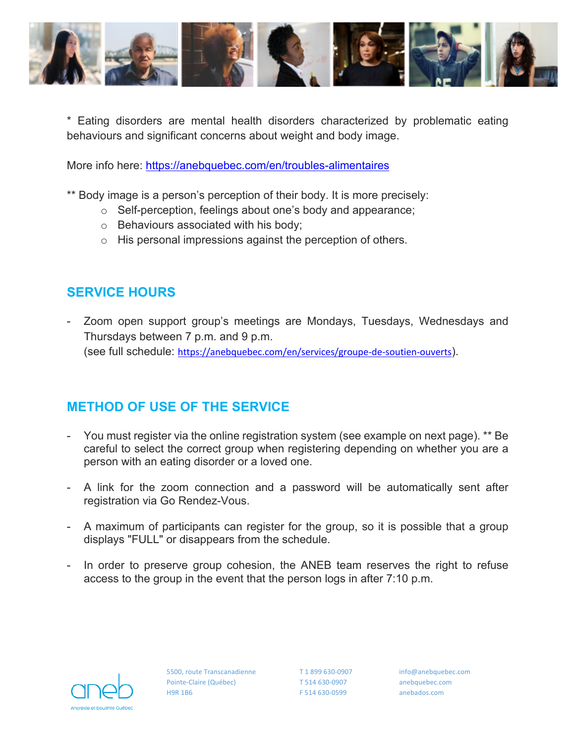

\* Eating disorders are mental health disorders characterized by problematic eating behaviours and significant concerns about weight and body image.

More info here: https://anebquebec.com/en/troubles-alimentaires

\*\* Body image is a person's perception of their body. It is more precisely:

- o Self-perception, feelings about one's body and appearance;
- o Behaviours associated with his body;
- o His personal impressions against the perception of others.

## **SERVICE HOURS**

- Zoom open support group's meetings are Mondays, Tuesdays, Wednesdays and Thursdays between 7 p.m. and 9 p.m. (see full schedule: https://anebquebec.com/en/services/groupe-de-soutien-ouverts).

# **METHOD OF USE OF THE SERVICE**

- You must register via the online registration system (see example on next page). \*\* Be careful to select the correct group when registering depending on whether you are a person with an eating disorder or a loved one.
- A link for the zoom connection and a password will be automatically sent after registration via Go Rendez-Vous.
- A maximum of participants can register for the group, so it is possible that a group displays "FULL" or disappears from the schedule.
- In order to preserve group cohesion, the ANEB team reserves the right to refuse access to the group in the event that the person logs in after 7:10 p.m.

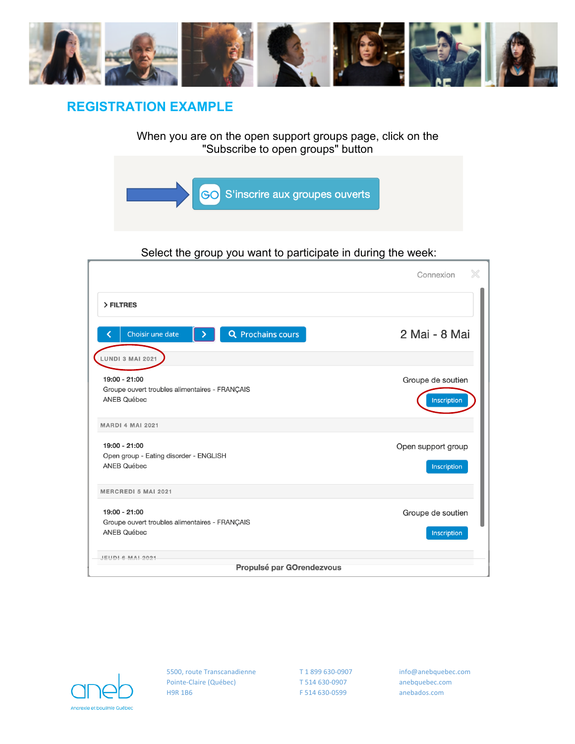

## **REGISTRATION EXAMPLE**

When you are on the open support groups page, click on the "Subscribe to open groups" button



#### Select the group you want to participate in during the week:

|                                                                                       | X<br>Connexion                    |  |  |  |  |  |  |
|---------------------------------------------------------------------------------------|-----------------------------------|--|--|--|--|--|--|
| > FILTRES                                                                             |                                   |  |  |  |  |  |  |
| <b>Q</b> Prochains cours<br>Choisir une date                                          | 2 Mai - 8 Mai                     |  |  |  |  |  |  |
| <b>LUNDI 3 MAI 2021</b>                                                               |                                   |  |  |  |  |  |  |
| 19:00 - 21:00<br>Groupe ouvert troubles alimentaires - FRANÇAIS<br><b>ANEB Québec</b> | Groupe de soutien<br>Inscription  |  |  |  |  |  |  |
| <b>MARDI 4 MAI 2021</b>                                                               |                                   |  |  |  |  |  |  |
| 19:00 - 21:00<br>Open group - Eating disorder - ENGLISH<br><b>ANEB Québec</b>         | Open support group<br>Inscription |  |  |  |  |  |  |
| <b>MERCREDI 5 MAI 2021</b>                                                            |                                   |  |  |  |  |  |  |
| 19:00 - 21:00<br>Groupe ouvert troubles alimentaires - FRANÇAIS<br><b>ANEB Québec</b> | Groupe de soutien<br>Inscription  |  |  |  |  |  |  |
| JEUDI 6 MAI 2021<br>Propulsé par GOrendezvous                                         |                                   |  |  |  |  |  |  |
|                                                                                       |                                   |  |  |  |  |  |  |

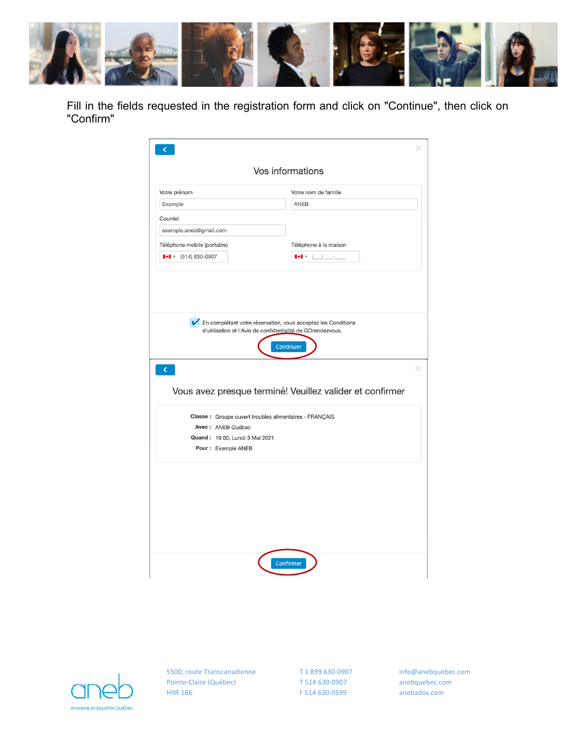

Fill in the fields requested in the registration form and click on "Continue", then click on "Confirm"

| Votre prénom<br>Exemple<br>Courriel                    | Votre nom de famille                                                                                                                                                                                                                                |
|--------------------------------------------------------|-----------------------------------------------------------------------------------------------------------------------------------------------------------------------------------------------------------------------------------------------------|
|                                                        |                                                                                                                                                                                                                                                     |
|                                                        | ANEB                                                                                                                                                                                                                                                |
|                                                        |                                                                                                                                                                                                                                                     |
| exemple.aneb@gmail.com                                 |                                                                                                                                                                                                                                                     |
| Téléphone mobile (portable)                            | Téléphone à la maison                                                                                                                                                                                                                               |
| $\bullet$ $\bullet$ (514) 630-0907                     | $\begin{array}{ c c c c }\hline \multicolumn{1}{ c }{\bullet} & \multicolumn{1}{ c }{\bullet} & \multicolumn{1}{ c }{\end{array} \begin{array}{c} \multicolumn{1}{ c }{\bullet} & \multicolumn{1}{ c }{\bullet} & \multicolumn{1}{ c }{\end{array}$ |
| $\langle$                                              | Vous avez presque terminé! Veuillez valider et confirmer                                                                                                                                                                                            |
| Classe: Groupe ouvert troubles alimentaires - FRANÇAIS |                                                                                                                                                                                                                                                     |
| Avec: ANEB Québec                                      |                                                                                                                                                                                                                                                     |
| Quand: 19:00, Lundi 3 Mai 2021<br>Pour: Exemple ANEB   |                                                                                                                                                                                                                                                     |
|                                                        |                                                                                                                                                                                                                                                     |

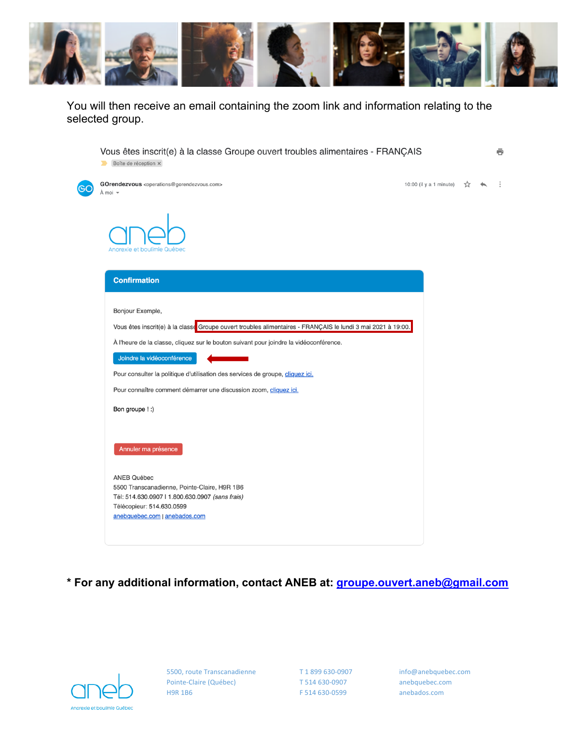

You will then receive an email containing the zoom link and information relating to the selected group.

|           | Vous êtes inscrit(e) à la classe Groupe ouvert troubles alimentaires - FRANÇAIS<br>Boîte de réception x                                                                             |                         |  | ē |
|-----------|-------------------------------------------------------------------------------------------------------------------------------------------------------------------------------------|-------------------------|--|---|
| <b>GC</b> | GOrendezvous <operations@gorendezvous.com><br/>À moi –</operations@gorendezvous.com>                                                                                                | 10:00 (il y a 1 minute) |  |   |
|           | Anorexie et boulimie Québec                                                                                                                                                         |                         |  |   |
|           | <b>Confirmation</b>                                                                                                                                                                 |                         |  |   |
|           | Bonjour Exemple,                                                                                                                                                                    |                         |  |   |
|           | Vous êtes inscrit(e) à la classe Groupe ouvert troubles alimentaires - FRANÇAIS le lundi 3 mai 2021 à 19:00.                                                                        |                         |  |   |
|           | À l'heure de la classe, cliquez sur le bouton suivant pour joindre la vidéoconférence.                                                                                              |                         |  |   |
|           | Joindre la vidéoconférence                                                                                                                                                          |                         |  |   |
|           | Pour consulter la politique d'utilisation des services de groupe, cliquez ici.                                                                                                      |                         |  |   |
|           | Pour connaître comment démarrer une discussion zoom, cliquez ici.                                                                                                                   |                         |  |   |
|           | Bon groupe ! :)                                                                                                                                                                     |                         |  |   |
|           | Annuler ma présence                                                                                                                                                                 |                         |  |   |
|           | <b>ANEB Québec</b><br>5500 Transcanadienne, Pointe-Claire, H9R 1B6<br>Tél: 514.630.0907   1.800.630.0907 (sans frais)<br>Télécopieur: 514.630.0599<br>anebquebec.com   anebados.com |                         |  |   |

## **\* For any additional information, contact ANEB at: groupe.ouvert.aneb@gmail.com**

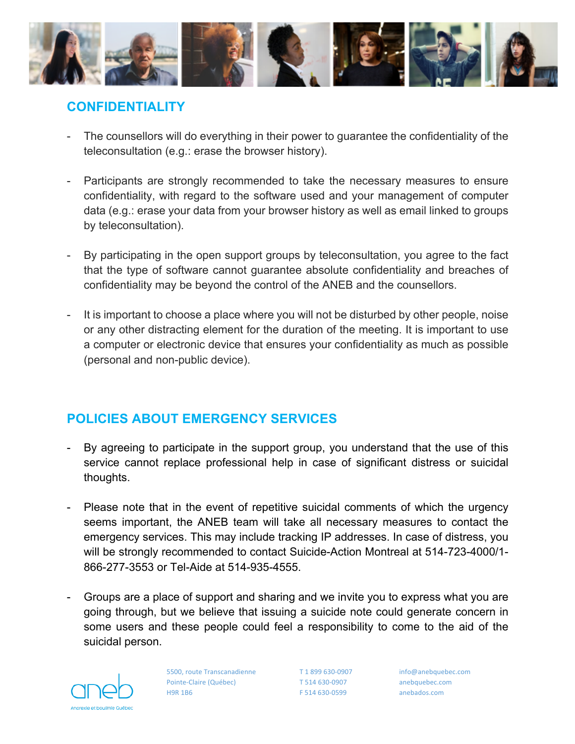

## **CONFIDENTIALITY**

- The counsellors will do everything in their power to guarantee the confidentiality of the teleconsultation (e.g.: erase the browser history).
- Participants are strongly recommended to take the necessary measures to ensure confidentiality, with regard to the software used and your management of computer data (e.g.: erase your data from your browser history as well as email linked to groups by teleconsultation).
- By participating in the open support groups by teleconsultation, you agree to the fact that the type of software cannot guarantee absolute confidentiality and breaches of confidentiality may be beyond the control of the ANEB and the counsellors.
- It is important to choose a place where you will not be disturbed by other people, noise or any other distracting element for the duration of the meeting. It is important to use a computer or electronic device that ensures your confidentiality as much as possible (personal and non-public device).

## **POLICIES ABOUT EMERGENCY SERVICES**

- By agreeing to participate in the support group, you understand that the use of this service cannot replace professional help in case of significant distress or suicidal thoughts.
- Please note that in the event of repetitive suicidal comments of which the urgency seems important, the ANEB team will take all necessary measures to contact the emergency services. This may include tracking IP addresses. In case of distress, you will be strongly recommended to contact Suicide-Action Montreal at 514-723-4000/1- 866-277-3553 or Tel-Aide at 514-935-4555.
- Groups are a place of support and sharing and we invite you to express what you are going through, but we believe that issuing a suicide note could generate concern in some users and these people could feel a responsibility to come to the aid of the suicidal person.

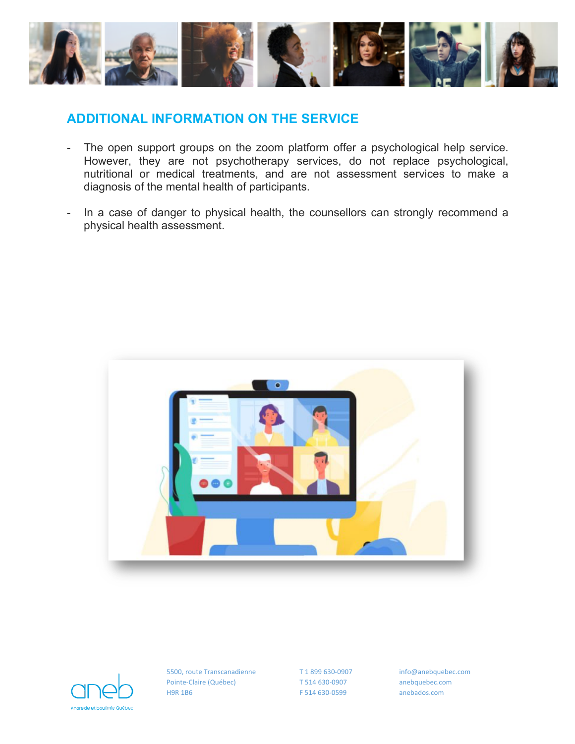

## **ADDITIONAL INFORMATION ON THE SERVICE**

- The open support groups on the zoom platform offer a psychological help service. However, they are not psychotherapy services, do not replace psychological, nutritional or medical treatments, and are not assessment services to make a diagnosis of the mental health of participants.
- In a case of danger to physical health, the counsellors can strongly recommend a physical health assessment.